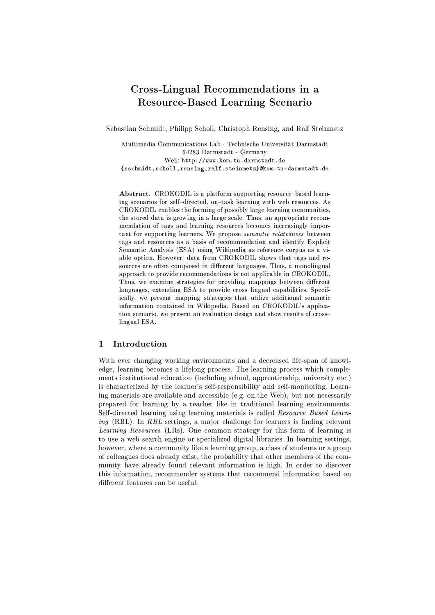# Cross-Lingual Recommendations in a Resource-Based Learning Scenario

Sebastian Schmidt, Philipp Scholl, Christoph Rensing, and Ralf Steinmetz

Multimedia Communications Lab - Technische Universität Darmstadt 64283 Darmstadt - Germany Web: http://www.kom.tu-darmstadt.de {sschmidt,scholl,rensing,ralf.steinmetz}@kom.tu-darmstadt.de

Abstract. CROKODIL is a platform supporting resource-based learning scenarios for self-directed, on-task learning with web resources. As CROKODIL enables the forming of possibly large learning communities, the stored data is growing in a large scale. Thus, an appropriate recommendation of tags and learning resources becomes increasingly important for supporting learners. We propose semantic relatedness between tags and resources as a basis of recommendation and identify Explicit Semantic Analysis (ESA) using Wikipedia as reference corpus as a viable option. However, data from CROKODIL shows that tags and resources are often composed in different languages. Thus, a monolingual approach to provide recommendations is not applicable in CROKODIL. Thus, we examine strategies for providing mappings between different languages, extending ESA to provide cross-lingual capabilities. Specifically, we present mapping strategies that utilize additional semantic information contained in Wikipedia. Based on CROKODIL's application scenario, we present an evaluation design and show results of cross lingual ESA.

# 1 Introduction

With ever changing working environments and a decreased life-span of knowledge, learning becomes a lifelong process. The learning process which complements institutional education (including school, apprenticeship, university etc.) is characterized by the learner's self-responsibility and self-monitoring. Learning materials are available and accessible (e.g. on the Web), but not necessarily prepared for learning by a teacher like in traditional learning environments. Self-directed learning using learning materials is called Resource-Based Learning (RBL). In RBL settings, a major challenge for learners is finding relevant Learning Resources (LRs). One common strategy for this form of learning is to use a web search engine or specialized digital libraries. In learning settings, however, where a community like a learning group, a class of students or a group of colleagues does already exist, the probability that other members of the community have already found relevant information is high. In order to discover this information, recommender systems that recommend information based on different features can be useful.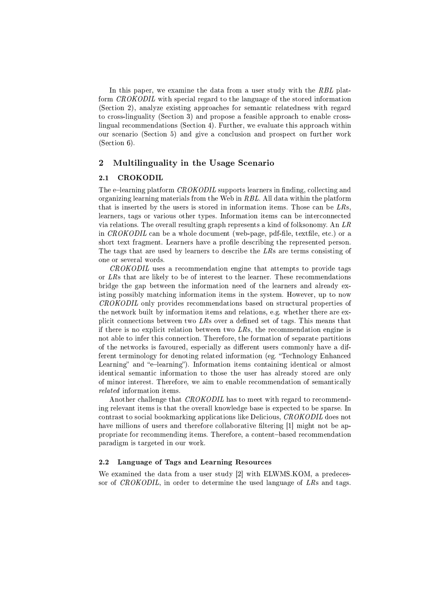In this paper, we examine the data from a user study with the  $RBL$  platform CROKODIL with special regard to the language of the stored information (Section 2), analyze existing approaches for semantic relatedness with regard to cross-linguality (Section 3) and propose a feasible approach to enable crosslingual recommendations (Section 4). Further, we evaluate this approach within our scenario (Section 5) and give a conclusion and prospect on further work (Section 6).

# 2 Multilinguality in the Usage Scenario

## 2.1 CROKODIL

The e-learning platform  $CROKODIL$  supports learners in finding, collecting and organizing learning materials from the Web in  $RBL$ . All data within the platform that is inserted by the users is stored in information items. Those can be LRs, learners, tags or various other types. Information items can be interconnected via relations. The overall resulting graph represents a kind of folksonomy. An LR in CROKODIL can be a whole document (web-page, pdf-file, textfile, etc.) or a short text fragment. Learners have a profile describing the represented person. The tags that are used by learners to describe the LRs are terms consisting of one or several words.

 $CROKODIL$  uses a recommendation engine that attempts to provide tags or LRs that are likely to be of interest to the learner. These recommendations bridge the gap between the information need of the learners and already existing possibly matching information items in the system. However, up to now CROKODIL only provides recommendations based on structural properties of the network built by information items and relations, e.g. whether there are explicit connections between two  $LRs$  over a defined set of tags. This means that if there is no explicit relation between two  $LRs$ , the recommendation engine is not able to infer this connection. Therefore, the formation of separate partitions of the networks is favoured, especially as different users commonly have a different terminology for denoting related information (eg. "Technology Enhanced Learning" and "e-learning"). Information items containing identical or almost identical semantic information to those the user has already stored are only of minor interest. Therefore, we aim to enable recommendation of semantically related information items.

Another challenge that *CROKODIL* has to meet with regard to recommending relevant items is that the overall knowledge base is expected to be sparse. In contrast to social bookmarking applications like Delicious, CROKODIL does not have millions of users and therefore collaborative filtering [1] might not be appropriate for recommending items. Therefore, a content-based recommendation paradigm is targeted in our work.

#### 2.2 Language of Tags and Learning Resources

We examined the data from a user study [2] with ELWMS.KOM, a predecessor of CROKODIL, in order to determine the used language of LRs and tags.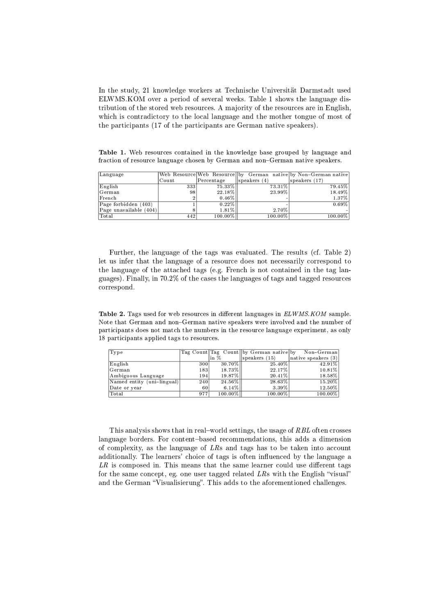In the study, 21 knowledge workers at Technische Universität Darmstadt used ELWMS.KOM over a period of several weeks. Table 1 shows the language distribution of the stored web resources. A majority of the resources are in English, which is contradictory to the local language and the mother tongue of most of the participants (17 of the participants are German native speakers).

Table 1. Web resources contained in the knowledge base grouped by language and fraction of resource language chosen by German and non-German native speakers.

| Language                               |          |            |                          | Web Resource Web Resource by German native by Non-German native |
|----------------------------------------|----------|------------|--------------------------|-----------------------------------------------------------------|
|                                        | Count    | Percentage | $\parallel$ speakers (4) | speakers (17)                                                   |
| English                                | 3331     | 75.33%     | 73.31%                   | 79.45%                                                          |
| <b>German</b>                          | 98       | 22.18%     | 23.99%                   | 18.49%                                                          |
| French                                 | $\Omega$ | $0.46\%$   |                          | $1.37\%$                                                        |
| Page forbidden (403)                   |          | $0.22\%$   |                          | $0.69\%$                                                        |
| Page unavailable (404)                 | 8        | $1.81\%$   | 2.70%                    |                                                                 |
| $\operatorname{Tot} \operatorname{al}$ | 442      | $100.00\%$ | $100.00\%$               | $100.00\%$                                                      |

Further, the language of the tags was evaluated. The results (cf. Table 2) let us infer that the language of a resource does not necessarily correspond to the language of the attached tags (e.g. French is not contained in the tag languages). Finally, in 70.2% of the cases the languages of tags and tagged resources correspond.

Table 2. Tags used for web resources in different languages in ELWMS.KOM sample. Note that German and non-German native speakers were involved and the number of participants does not match the numbers in the resource language experiment, as only 18 participants applied tags to resources.

| Type                       |      |            | Tag Count Tag Count   by German native by | Non-German          |  |
|----------------------------|------|------------|-------------------------------------------|---------------------|--|
|                            |      | 'in %      | speakers (15)                             | native speakers (3) |  |
| English                    | 300  | $30.70\%$  | $25.40\%$                                 | 42.91%              |  |
| German                     | 1831 | 18.73%     | 22.17%                                    | 10.81%              |  |
| Ambiguous Language         | 1941 | 19.87%     | $20.41\%$                                 | 18.58%              |  |
| Named entity (uni-lingual) | 240  | $24.56\%$  | 28.63%                                    | 15.20%              |  |
| Date or year               | 60   | $6.14\%$   | 3.39%                                     | 12.50%              |  |
| $ {\rm Total} $            | 977  | $100.00\%$ | $100.00\%$                                | 100.00%             |  |

This analysis shows that in real-world settings, the usage of RBL often crosses language borders. For content-based recommendations, this adds a dimension of complexity, as the language of  $LRs$  and tags has to be taken into account additionally. The learners' choice of tags is often influenced by the language a  $LR$  is composed in. This means that the same learner could use different tags for the same concept, eg. one user tagged related  $LRs$  with the English "visual" and the German "Visualisierung". This adds to the aforementioned challenges.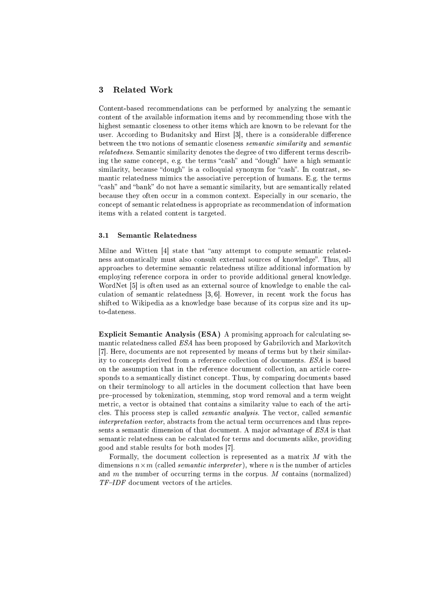## 3 Related Work

Content-based recommendations can be performed by analyzing the semantic content of the available information items and by recommending those with the highest semantic closeness to other items which are known to be relevant for the user. According to Budanitsky and Hirst [3], there is a considerable difference between the two notions of semantic closeness semantic similarity and semantic  $relatedness$ . Semantic similarity denotes the degree of two different terms describing the same concept, e.g. the terms "cash" and "dough" have a high semantic similarity, because "dough" is a colloquial synonym for "cash". In contrast, semantic relatedness mimics the associative perception of humans. E.g. the terms "cash" and "bank" do not have a semantic similarity, but are semantically related because they often occur in a common context. Especially in our scenario, the concept of semantic relatedness is appropriate as recommendation of information items with a related content is targeted.

### 3.1 Semantic Relatedness

Milne and Witten  $[4]$  state that "any attempt to compute semantic relatedness automatically must also consult external sources of knowledge". Thus, all approaches to determine semantic relatedness utilize additional information by employing reference corpora in order to provide additional general knowledge. WordNet [5] is often used as an external source of knowledge to enable the calculation of semantic relatedness [3, 6]. However, in recent work the focus has shifted to Wikipedia as a knowledge base because of its corpus size and its upto-dateness.

Explicit Semantic Analysis (ESA) A promising approach for calculating semantic relatedness called ESA has been proposed by Gabrilovich and Markovitch [7]. Here, documents are not represented by means of terms but by their similarity to concepts derived from a reference collection of documents. ESA is based on the assumption that in the reference document collection, an article corresponds to a semantically distinct concept. Thus, by comparing documents based on their terminology to all articles in the document collection that have been pre-processed by tokenization, stemming, stop word removal and a term weight metric, a vector is obtained that contains a similarity value to each of the articles. This process step is called semantic analysis. The vector, called semantic interpretation vector, abstracts from the actual term occurrences and thus represents a semantic dimension of that document. A major advantage of ESA is that semantic relatedness can be calculated for terms and documents alike, providing good and stable results for both modes [7].

Formally, the document collection is represented as a matrix  $M$  with the dimensions  $n \times m$  (called *semantic interpreter*), where n is the number of articles and  $m$  the number of occurring terms in the corpus.  $M$  contains (normalized)  $TF\text{-}IDF$  document vectors of the articles.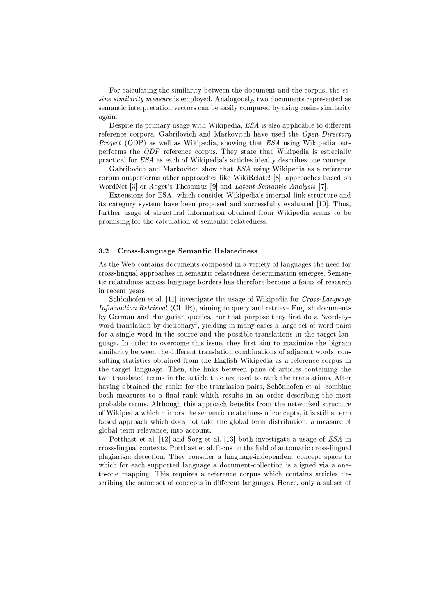For calculating the similarity between the document and the corpus, the cosine similarity measure is employed. Analogously, two documents represented as semantic interpretation vectors can be easily compared by using cosine similarity again.

Despite its primary usage with Wikipedia,  $ESA$  is also applicable to different reference corpora. Gabrilovich and Markovitch have used the Open Directory Project (ODP) as well as Wikipedia, showing that ESA using Wikipedia outperforms the ODP reference corpus. They state that Wikipedia is especially practical for ESA as each of Wikipedia's articles ideally describes one concept.

Gabrilovich and Markovitch show that ESA using Wikipedia as a reference corpus outperforms other approaches like WikiRelate! [8], approaches based on WordNet [3] or Roget's Thesaurus [9] and Latent Semantic Analysis [7].

Extensions for ESA, which consider Wikipedia's internal link structure and its category system have been proposed and successfully evaluated [10]. Thus, further usage of structural information obtained from Wikipedia seems to be promising for the calculation of semantic relatedness.

### 3.2 Cross-Language Semantic Relatedness

As the Web contains documents composed in a variety of languages the need for cross-lingual approaches in semantic relatedness determination emerges. Semantic relatedness across language borders has therefore become a focus of research in recent years.

Schönhofen et al. [11] investigate the usage of Wikipedia for Cross-Language Information Retrieval (CL IR), aiming to query and retrieve English documents by German and Hungarian queries. For that purpose they first do a "word-byword translation by dictionary", yielding in many cases a large set of word pairs for a single word in the source and the possible translations in the target language. In order to overcome this issue, they first aim to maximize the bigram similarity between the different translation combinations of adjacent words, consulting statistics obtained from the English Wikipedia as a reference corpus in the target language. Then, the links between pairs of articles containing the two translated terms in the article title are used to rank the translations. After having obtained the ranks for the translation pairs, Schönhofen et al. combine both measures to a final rank which results in an order describing the most probable terms. Although this approach benets from the networked structure of Wikipedia which mirrors the semantic relatedness of concepts, it is still a term based approach which does not take the global term distribution, a measure of global term relevance, into account.

Potthast et al. [12] and Sorg et al. [13] both investigate a usage of ESA in cross-lingual contexts. Potthast et al. focus on the field of automatic cross-lingual plagiarism detection. They consider a language-independent concept space to which for each supported language a document-collection is aligned via a oneto-one mapping. This requires a reference corpus which contains articles describing the same set of concepts in different languages. Hence, only a subset of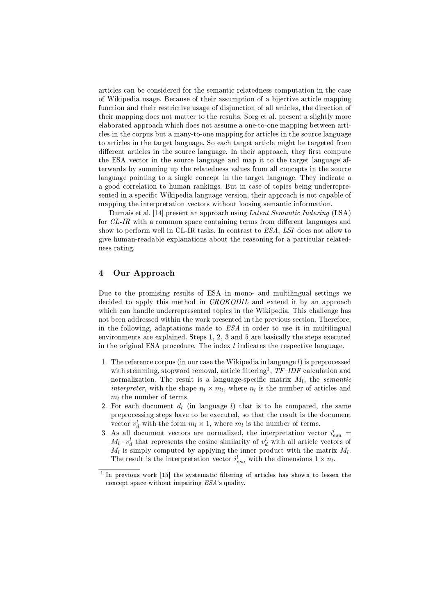articles can be considered for the semantic relatedness computation in the case of Wikipedia usage. Because of their assumption of a bijective article mapping function and their restrictive usage of disjunction of all articles, the direction of their mapping does not matter to the results. Sorg et al. present a slightly more elaborated approach which does not assume a one-to-one mapping between articles in the corpus but a many-to-one mapping for articles in the source language to articles in the target language. So each target article might be targeted from different articles in the source language. In their approach, they first compute the ESA vector in the source language and map it to the target language afterwards by summing up the relatedness values from all concepts in the source language pointing to a single concept in the target language. They indicate a a good correlation to human rankings. But in case of topics being underrepresented in a specific Wikipedia language version, their approach is not capable of mapping the interpretation vectors without loosing semantic information.

Dumais et al. [14] present an approach using Latent Semantic Indexing (LSA) for  $CL$ -IR with a common space containing terms from different languages and show to perform well in CL-IR tasks. In contrast to ESA, LSI does not allow to give human-readable explanations about the reasoning for a particular relatedness rating.

# 4 Our Approach

Due to the promising results of ESA in mono- and multilingual settings we decided to apply this method in CROKODIL and extend it by an approach which can handle underrepresented topics in the Wikipedia. This challenge has not been addressed within the work presented in the previous section. Therefore, in the following, adaptations made to  $ESA$  in order to use it in multilingual environments are explained. Steps 1, 2, 3 and 5 are basically the steps executed in the original ESA procedure. The index  $l$  indicates the respective language.

- 1. The reference corpus (in our case the Wikipedia in language l) is preprocessed with stemming, stopword removal, article filtering<sup>1</sup>,  $TF$ -IDF calculation and normalization. The result is a language-specific matrix  $M_l$ , the semantic interpreter, with the shape  $n_l \times m_l$ , where  $n_l$  is the number of articles and  $m_l$  the number of terms.
- 2. For each document  $d_l$  (in language l) that is to be compared, the same preprocessing steps have to be executed, so that the result is the document vector  $v_d^l$  with the form  $m_l \times 1$ , where  $m_l$  is the number of terms.
- 3. As all document vectors are normalized, the interpretation vector  $i_{esa}^l =$  $M_l \cdot v_d^l$  that represents the cosine similarity of  $v_d^l$  with all article vectors of  $M_l$  is simply computed by applying the inner product with the matrix  $M_l$ . The result is the interpretation vector  $i_{esa}^l$  with the dimensions  $1 \times n_l$ .

<sup>&</sup>lt;sup>1</sup> In previous work [15] the systematic filtering of articles has shown to lessen the concept space without impairing ESA's quality.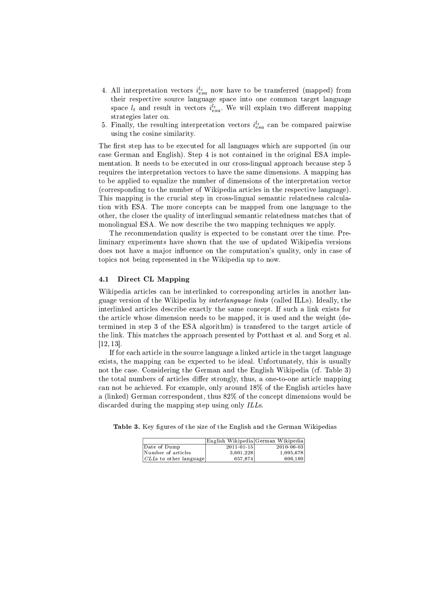- 4. All interpretation vectors  $i_{esa}^{l_s}$  now have to be transferred (mapped) from their respective source language space into one common target language space  $l_t$  and result in vectors  $i_{esa}^{l_t}$ . We will explain two different mapping strategies later on.
- 5. Finally, the resulting interpretation vectors  $i_{esa}^{l_t}$  can be compared pairwise using the cosine similarity.

The first step has to be executed for all languages which are supported (in our case German and English). Step 4 is not contained in the original ESA implementation. It needs to be executed in our cross-lingual approach because step 5 requires the interpretation vectors to have the same dimensions. A mapping has to be applied to equalize the number of dimensions of the interpretation vector (corresponding to the number of Wikipedia articles in the respective language). This mapping is the crucial step in cross-lingual semantic relatedness calculation with ESA. The more concepts can be mapped from one language to the other, the closer the quality of interlingual semantic relatedness matches that of monolingual ESA. We now describe the two mapping techniques we apply.

The recommendation quality is expected to be constant over the time. Preliminary experiments have shown that the use of updated Wikipedia versions does not have a major influence on the computation's quality, only in case of topics not being represented in the Wikipedia up to now.

### 4.1 Direct CL Mapping

Wikipedia articles can be interlinked to corresponding articles in another language version of the Wikipedia by interlanguage links (called ILLs). Ideally, the interlinked articles describe exactly the same concept. If such a link exists for the article whose dimension needs to be mapped, it is used and the weight (determined in step 3 of the ESA algorithm) is transfered to the target article of the link. This matches the approach presented by Potthast et al. and Sorg et al. [12, 13].

If for each article in the source language a linked article in the target language exists, the mapping can be expected to be ideal. Unfortunately, this is usually not the case. Considering the German and the English Wikipedia (cf. Table 3) the total numbers of articles differ strongly, thus, a one-to-one article mapping can not be achieved. For example, only around 18% of the English articles have a (linked) German correspondent, thus 82% of the concept dimensions would be discarded during the mapping step using only ILLs.

Table 3. Key figures of the size of the English and the German Wikipedias

|                           |                  | English Wikipedia German Wikipedia |
|---------------------------|------------------|------------------------------------|
| Date of Dump              | $2011 - 01 - 15$ | $2010 - 06 - 03$                   |
| Number of articles        | 3,601,228        | 1,095,678                          |
| $ CLLs$ to other language | 657.874          | 606,160                            |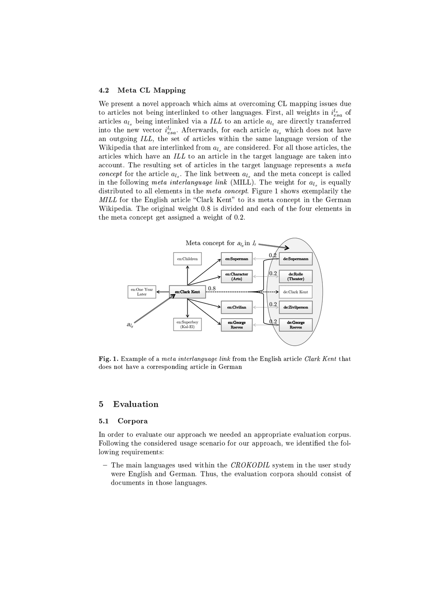### 4.2 Meta CL Mapping

We present a novel approach which aims at overcoming CL mapping issues due to articles not being interlinked to other languages. First, all weights in  $i_{esa}^{l_s}$  of articles  $a_{l_s}$  being interlinked via a ILL to an article  $a_{l_t}$  are directly transferred into the new vector  $i_{esa}^{l_t}$ . Afterwards, for each article  $a_{l_s}$  which does not have an outgoing ILL, the set of articles within the same language version of the Wikipedia that are interlinked from  $a_{l_s}$  are considered. For all those articles, the articles which have an ILL to an article in the target language are taken into account. The resulting set of articles in the target language represents a meta concept for the article  $a_{l_s}$ . The link between  $a_{l_s}$  and the meta concept is called in the following *meta interlanguage link* (MILL). The weight for  $a_{l_s}$  is equally distributed to all elements in the meta concept. Figure 1 shows exemplarily the  $MILL$  for the English article "Clark Kent" to its meta concept in the German Wikipedia. The original weight 0.8 is divided and each of the four elements in the meta concept get assigned a weight of 0.2.



Fig. 1. Example of a *meta interlanguage link* from the English article *Clark Kent* that does not have a corresponding article in German

# 5 Evaluation

### 5.1 Corpora

In order to evaluate our approach we needed an appropriate evaluation corpus. Following the considered usage scenario for our approach, we identified the following requirements:

- The main languages used within the CROKODIL system in the user study were English and German. Thus, the evaluation corpora should consist of documents in those languages.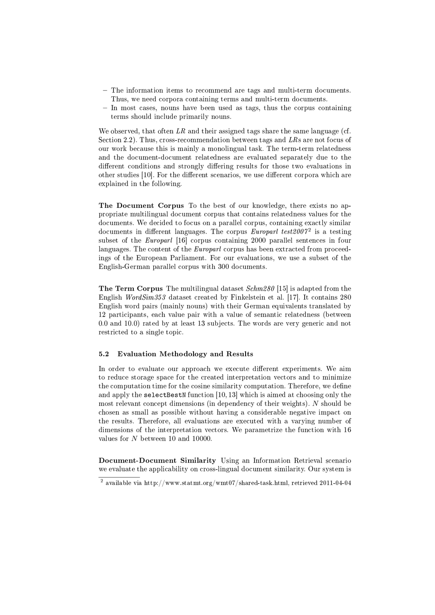- $-$  The information items to recommend are tags and multi-term documents. Thus, we need corpora containing terms and multi-term documents.
- $-In$  most cases, nouns have been used as tags, thus the corpus containing terms should include primarily nouns.

We observed, that often  $LR$  and their assigned tags share the same language (cf. Section 2.2). Thus, cross-recommendation between tags and LRs are not focus of our work because this is mainly a monolingual task. The term-term relatedness and the document-document relatedness are evaluated separately due to the different conditions and strongly differing results for those two evaluations in other studies  $[10]$ . For the different scenarios, we use different corpora which are explained in the following.

The Document Corpus To the best of our knowledge, there exists no appropriate multilingual document corpus that contains relatedness values for the documents. We decided to focus on a parallel corpus, containing exactly similar documents in different languages. The corpus  $European \textit{test2007}{}^{2}$  is a testing subset of the *Europarl* [16] corpus containing 2000 parallel sentences in four languages. The content of the *Europarl* corpus has been extracted from proceedings of the European Parliament. For our evaluations, we use a subset of the English-German parallel corpus with 300 documents.

**The Term Corpus** The multilingual dataset  $Schm280$  [15] is adapted from the English WordSim353 dataset created by Finkelstein et al. [17]. It contains 280 English word pairs (mainly nouns) with their German equivalents translated by 12 participants, each value pair with a value of semantic relatedness (between 0.0 and 10.0) rated by at least 13 subjects. The words are very generic and not restricted to a single topic.

### 5.2 Evaluation Methodology and Results

In order to evaluate our approach we execute different experiments. We aim to reduce storage space for the created interpretation vectors and to minimize the computation time for the cosine similarity computation. Therefore, we define and apply the selectBestN function [10, 13] which is aimed at choosing only the most relevant concept dimensions (in dependency of their weights). N should be chosen as small as possible without having a considerable negative impact on the results. Therefore, all evaluations are executed with a varying number of dimensions of the interpretation vectors. We parametrize the function with 16 values for N between 10 and 10000.

Document-Document Similarity Using an Information Retrieval scenario we evaluate the applicability on cross-lingual document similarity. Our system is

<sup>&</sup>lt;sup>2</sup> available via http://www.statmt.org/wmt07/shared-task.html, retrieved 2011-04-04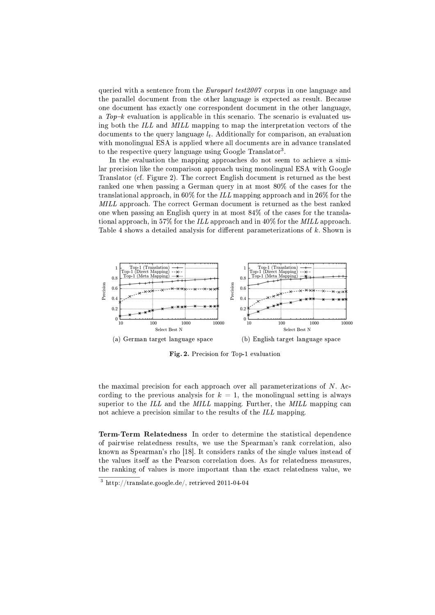queried with a sentence from the *Europarl test2007* corpus in one language and the parallel document from the other language is expected as result. Because one document has exactly one correspondent document in the other language, a Top-k evaluation is applicable in this scenario. The scenario is evaluated using both the ILL and MILL mapping to map the interpretation vectors of the documents to the query language  $l_t$ . Additionally for comparison, an evaluation with monolingual ESA is applied where all documents are in advance translated to the respective query language using Google Translator<sup>3</sup>.

In the evaluation the mapping approaches do not seem to achieve a similar precision like the comparison approach using monolingual ESA with Google Translator (cf. Figure 2). The correct English document is returned as the best ranked one when passing a German query in at most 80% of the cases for the translational approach, in  $60\%$  for the ILL mapping approach and in  $26\%$  for the MILL approach. The correct German document is returned as the best ranked one when passing an English query in at most 84% of the cases for the translational approach, in 57% for the ILL approach and in 40% for the  $MILL$  approach. Table 4 shows a detailed analysis for different parameterizations of  $k$ . Shown is



Fig. 2. Precision for Top-1 evaluation

the maximal precision for each approach over all parameterizations of  $N$ . According to the previous analysis for  $k = 1$ , the monolingual setting is always superior to the  $ILL$  and the  $MILL$  mapping. Further, the  $MILL$  mapping can not achieve a precision similar to the results of the ILL mapping.

Term-Term Relatedness In order to determine the statistical dependence of pairwise relatedness results, we use the Spearman's rank correlation, also known as Spearman's rho [18]. It considers ranks of the single values instead of the values itself as the Pearson correlation does. As for relatedness measures, the ranking of values is more important than the exact relatedness value, we

<sup>3</sup> http://translate.google.de/, retrieved 2011-04-04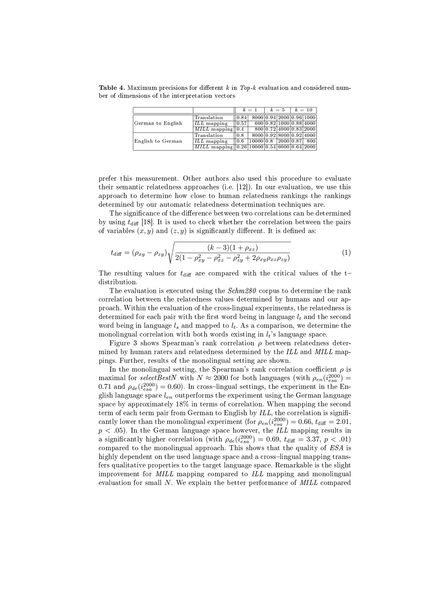Table 4. Maximum precisions for different k in  $Top-k$  evaluation and considered number of dimensions of the interpretation vectors

|                   |                                                      |                        |                                      | $k = 1$   $k = 5$   $k = 10$ |                          |  |  |
|-------------------|------------------------------------------------------|------------------------|--------------------------------------|------------------------------|--------------------------|--|--|
| German to English | Translation                                          | 10.841                 | 8000 0.94 2000 0.96 1000             |                              |                          |  |  |
|                   | <i>ILL</i> mapping                                   | $\vert\vert 0.57\vert$ |                                      |                              | 600 0.82 1000 0.88 4000  |  |  |
|                   | $MILL$ mapping $ 0.4 $                               |                        |                                      |                              | 800 0.72 4000 0.83 2000  |  |  |
| English to German | Translation                                          | $\sqrt{0.8}$           |                                      |                              | 8000 0.92 8000 0.92 4000 |  |  |
|                   | <i>ILL</i> mapping                                   |                        | $\sqrt{0.6}$ 10000 0.8 2000 0.87 800 |                              |                          |  |  |
|                   | $^+MILL$ mapping $  0.26 10000 0.54 6000 0.64 2000 $ |                        |                                      |                              |                          |  |  |

prefer this measurement. Other authors also used this procedure to evaluate their semantic relatedness approaches (i.e. [12]). In our evaluation, we use this approach to determine how close to human relatedness rankings the rankings determined by our automatic relatedness determination techniques are.

The significance of the difference between two correlations can be determined by using  $t_{\text{diff}}$  [18]. It is used to check whether the correlation between the pairs of variables  $(x, y)$  and  $(z, y)$  is significantly different. It is defined as:

$$
t_{\text{diff}} = (\rho_{xy} - \rho_{zy}) \sqrt{\frac{(k-3)(1+\rho_{xz})}{2(1-\rho_{xy}^2 - \rho_{xz}^2 - \rho_{zy}^2 + 2\rho_{xy}\rho_{xz}\rho_{zy})}}
$$
(1)

The resulting values for  $t_{\text{diff}}$  are compared with the critical values of the tdistribution.

The evaluation is executed using the  $Schm280$  corpus to determine the rank correlation between the relatedness values determined by humans and our approach. Within the evaluation of the cross-lingual experiments, the relatedness is determined for each pair with the first word being in language  $l_t$  and the second word being in language  $l_s$  and mapped to  $l_t$ . As a comparison, we determine the monolingual correlation with both words existing in  $l_t$ 's language space.

Figure 3 shows Spearman's rank correlation  $\rho$  between relatedness determined by human raters and relatedness determined by the ILL and MILL mappings. Further, results of the monolingual setting are shown.

In the monolingual setting, the Spearman's rank correlation coefficient  $\rho$  is maximal for selectBestN with  $N \approx 2000$  for both languages (with  $\rho_{en}(i_{esa}^{2000}) =$ 0.71 and  $\rho_{de}(i_{esa}^{2000}) = 0.60$ . In cross-lingual settings, the experiment in the English language space  $l_{en}$  outperforms the experiment using the German language space by approximately 18% in terms of correlation. When mapping the second term of each term pair from German to English by  $ILL$ , the correlation is significantly lower than the monolingual experiment (for  $\rho_{en}(i_{esa}^{2000}) = 0.66$ ,  $t_{\text{diff}} = 2.01$ ,  $p < .05$ ). In the German language space however, the  $\tilde{ILL}$  mapping results in a significantly higher correlation (with  $\rho_{de}(i_{esa}^{2000}) = 0.69$ ,  $t_{diff} = 3.37$ ,  $p < .01$ ) compared to the monolingual approach. This shows that the quality of ESA is highly dependent on the used language space and a cross-lingual mapping transfers qualitative properties to the target language space. Remarkable is the slight improvement for MILL mapping compared to ILL mapping and monolingual evaluation for small N. We explain the better performance of MILL compared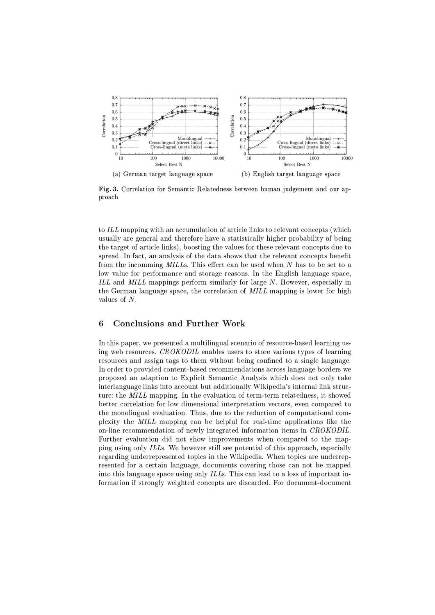

Fig. 3. Correlation for Semantic Relatedness between human judgement and our approach

to ILL mapping with an accumulation of article links to relevant concepts (which usually are general and therefore have a statistically higher probability of being the target of article links), boosting the values for these relevant concepts due to spread. In fact, an analysis of the data shows that the relevant concepts benefit from the incomming  $MILLs$ . This effect can be used when N has to be set to a low value for performance and storage reasons. In the English language space, ILL and MILL mappings perform similarly for large N. However, especially in the German language space, the correlation of MILL mapping is lower for high values of N.

# 6 Conclusions and Further Work

In this paper, we presented a multilingual scenario of resource-based learning using web resources. CROKODIL enables users to store various types of learning resources and assign tags to them without being confined to a single language. In order to provided content-based recommendations across language borders we proposed an adaption to Explicit Semantic Analysis which does not only take interlanguage links into account but additionally Wikipedia's internal link structure: the MILL mapping. In the evaluation of term-term relatedness, it showed better correlation for low dimensional interpretation vectors, even compared to the monolingual evaluation. Thus, due to the reduction of computational complexity the MILL mapping can be helpful for real-time applications like the on-line recommendation of newly integrated information items in CROKODIL. Further evaluation did not show improvements when compared to the mapping using only ILLs. We however still see potential of this approach, especially regarding underrepresented topics in the Wikipedia. When topics are underrepresented for a certain language, documents covering those can not be mapped into this language space using only ILLs. This can lead to a loss of important information if strongly weighted concepts are discarded. For document-document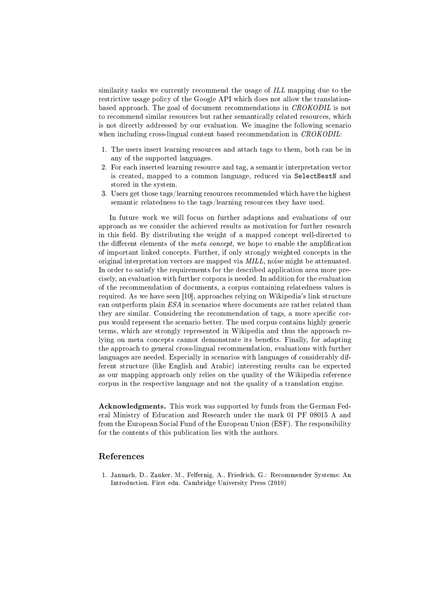similarity tasks we currently recommend the usage of ILL mapping due to the restrictive usage policy of the Google API which does not allow the translationbased approach. The goal of document recommendations in CROKODIL is not to recommend similar resources but rather semantically related resources, which is not directly addressed by our evaluation. We imagine the following scenario when including cross-lingual content based recommendation in CROKODIL:

- 1. The users insert learning resources and attach tags to them, both can be in any of the supported languages.
- 2. For each inserted learning resource and tag, a semantic interpretation vector is created, mapped to a common language, reduced via SelectBestN and stored in the system.
- 3. Users get those tags/learning resources recommended which have the highest semantic relatedness to the tags/learning resources they have used.

In future work we will focus on further adaptions and evaluations of our approach as we consider the achieved results as motivation for further research in this field. By distributing the weight of a mapped concept well-directed to the different elements of the *meta concept*, we hope to enable the amplification of important linked concepts. Further, if only strongly weighted concepts in the original interpretation vectors are mapped via MILL, noise might be attenuated. In order to satisfy the requirements for the described application area more precisely, an evaluation with further corpora is needed. In addition for the evaluation of the recommendation of documents, a corpus containing relatedness values is required. As we have seen [10], approaches relying on Wikipedia's link structure can outperform plain ESA in scenarios where documents are rather related than they are similar. Considering the recommendation of tags, a more specific corpus would represent the scenario better. The used corpus contains highly generic terms, which are strongly represented in Wikipedia and thus the approach relying on meta concepts cannot demonstrate its benefits. Finally, for adapting the approach to general cross-lingual recommendation, evaluations with further languages are needed. Especially in scenarios with languages of considerably different structure (like English and Arabic) interesting results can be expected as our mapping approach only relies on the quality of the Wikipedia reference corpus in the respective language and not the quality of a translation engine.

Acknowledgments. This work was supported by funds from the German Federal Ministry of Education and Research under the mark 01 PF 08015 A and from the European Social Fund of the European Union (ESF). The responsibility for the contents of this publication lies with the authors.

# References

1. Jannach, D., Zanker, M., Felfernig, A., Friedrich, G.: Recommender Systems: An Introduction. First edn. Cambridge University Press (2010)